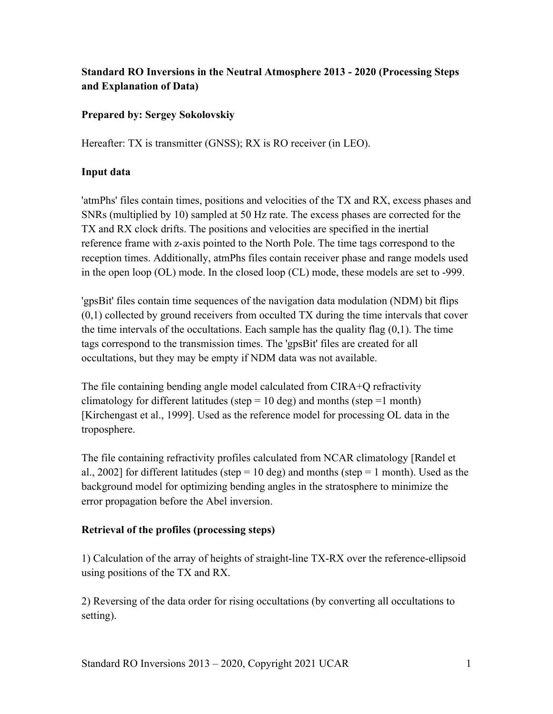# **Standard RO Inversions in the Neutral Atmosphere 2013 - 2020 (Processing Steps and Explanation of Data)**

## **Prepared by: Sergey Sokolovskiy**

Hereafter: TX is transmitter (GNSS); RX is RO receiver (in LEO).

#### **Input data**

'atmPhs' files contain times, positions and velocities of the TX and RX, excess phases and SNRs (multiplied by 10) sampled at 50 Hz rate. The excess phases are corrected for the TX and RX clock drifts. The positions and velocities are specified in the inertial reference frame with z-axis pointed to the North Pole. The time tags correspond to the reception times. Additionally, atmPhs files contain receiver phase and range models used in the open loop (OL) mode. In the closed loop (CL) mode, these models are set to -999.

'gpsBit' files contain time sequences of the navigation data modulation (NDM) bit flips  $(0,1)$  collected by ground receivers from occulted TX during the time intervals that cover the time intervals of the occultations. Each sample has the quality flag  $(0,1)$ . The time tags correspond to the transmission times. The 'gpsBit' files are created for all occultations, but they may be empty if NDM data was not available.

The file containing bending angle model calculated from CIRA+Q refractivity climatology for different latitudes (step =  $10$  deg) and months (step = 1 month) [Kirchengast et al., 1999]. Used as the reference model for processing OL data in the troposphere.

The file containing refractivity profiles calculated from NCAR climatology [Randel et al., 2002] for different latitudes (step = 10 deg) and months (step = 1 month). Used as the background model for optimizing bending angles in the stratosphere to minimize the error propagation before the Abel inversion.

#### **Retrieval of the profiles (processing steps)**

1) Calculation of the array of heights of straight-line TX-RX over the reference-ellipsoid using positions of the TX and RX.

2) Reversing of the data order for rising occultations (by converting all occultations to setting).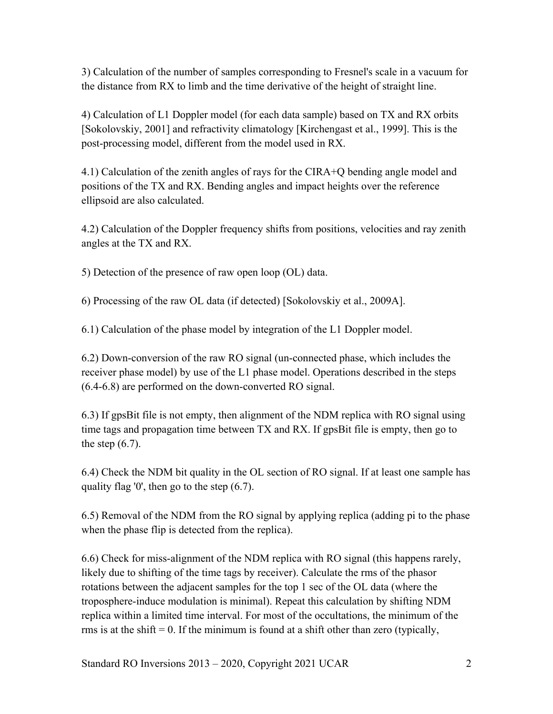3) Calculation of the number of samples corresponding to Fresnel's scale in a vacuum for the distance from RX to limb and the time derivative of the height of straight line.

4) Calculation of L1 Doppler model (for each data sample) based on TX and RX orbits [Sokolovskiy, 2001] and refractivity climatology [Kirchengast et al., 1999]. This is the post-processing model, different from the model used in RX.

4.1) Calculation of the zenith angles of rays for the CIRA+Q bending angle model and positions of the TX and RX. Bending angles and impact heights over the reference ellipsoid are also calculated.

4.2) Calculation of the Doppler frequency shifts from positions, velocities and ray zenith angles at the TX and RX.

5) Detection of the presence of raw open loop (OL) data.

6) Processing of the raw OL data (if detected) [Sokolovskiy et al., 2009A].

6.1) Calculation of the phase model by integration of the L1 Doppler model.

6.2) Down-conversion of the raw RO signal (un-connected phase, which includes the receiver phase model) by use of the L1 phase model. Operations described in the steps (6.4-6.8) are performed on the down-converted RO signal.

6.3) If gpsBit file is not empty, then alignment of the NDM replica with RO signal using time tags and propagation time between TX and RX. If gpsBit file is empty, then go to the step  $(6.7)$ .

6.4) Check the NDM bit quality in the OL section of RO signal. If at least one sample has quality flag '0', then go to the step (6.7).

6.5) Removal of the NDM from the RO signal by applying replica (adding pi to the phase when the phase flip is detected from the replica).

6.6) Check for miss-alignment of the NDM replica with RO signal (this happens rarely, likely due to shifting of the time tags by receiver). Calculate the rms of the phasor rotations between the adjacent samples for the top 1 sec of the OL data (where the troposphere-induce modulation is minimal). Repeat this calculation by shifting NDM replica within a limited time interval. For most of the occultations, the minimum of the rms is at the shift  $= 0$ . If the minimum is found at a shift other than zero (typically,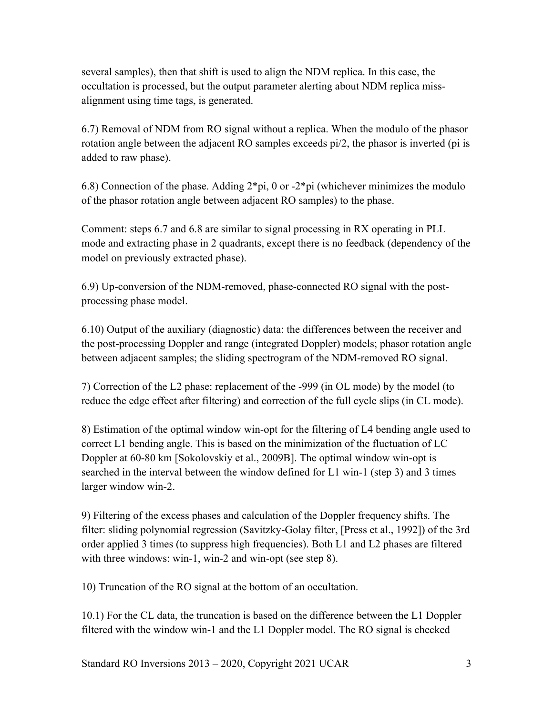several samples), then that shift is used to align the NDM replica. In this case, the occultation is processed, but the output parameter alerting about NDM replica missalignment using time tags, is generated.

6.7) Removal of NDM from RO signal without a replica. When the modulo of the phasor rotation angle between the adjacent RO samples exceeds pi/2, the phasor is inverted (pi is added to raw phase).

6.8) Connection of the phase. Adding  $2*pi$ , 0 or  $-2*pi$  (whichever minimizes the modulo of the phasor rotation angle between adjacent RO samples) to the phase.

Comment: steps 6.7 and 6.8 are similar to signal processing in RX operating in PLL mode and extracting phase in 2 quadrants, except there is no feedback (dependency of the model on previously extracted phase).

6.9) Up-conversion of the NDM-removed, phase-connected RO signal with the postprocessing phase model.

6.10) Output of the auxiliary (diagnostic) data: the differences between the receiver and the post-processing Doppler and range (integrated Doppler) models; phasor rotation angle between adjacent samples; the sliding spectrogram of the NDM-removed RO signal.

7) Correction of the L2 phase: replacement of the -999 (in OL mode) by the model (to reduce the edge effect after filtering) and correction of the full cycle slips (in CL mode).

8) Estimation of the optimal window win-opt for the filtering of L4 bending angle used to correct L1 bending angle. This is based on the minimization of the fluctuation of LC Doppler at 60-80 km [Sokolovskiy et al., 2009B]. The optimal window win-opt is searched in the interval between the window defined for L1 win-1 (step 3) and 3 times larger window win-2.

9) Filtering of the excess phases and calculation of the Doppler frequency shifts. The filter: sliding polynomial regression (Savitzky-Golay filter, [Press et al., 1992]) of the 3rd order applied 3 times (to suppress high frequencies). Both L1 and L2 phases are filtered with three windows: win-1, win-2 and win-opt (see step 8).

10) Truncation of the RO signal at the bottom of an occultation.

10.1) For the CL data, the truncation is based on the difference between the L1 Doppler filtered with the window win-1 and the L1 Doppler model. The RO signal is checked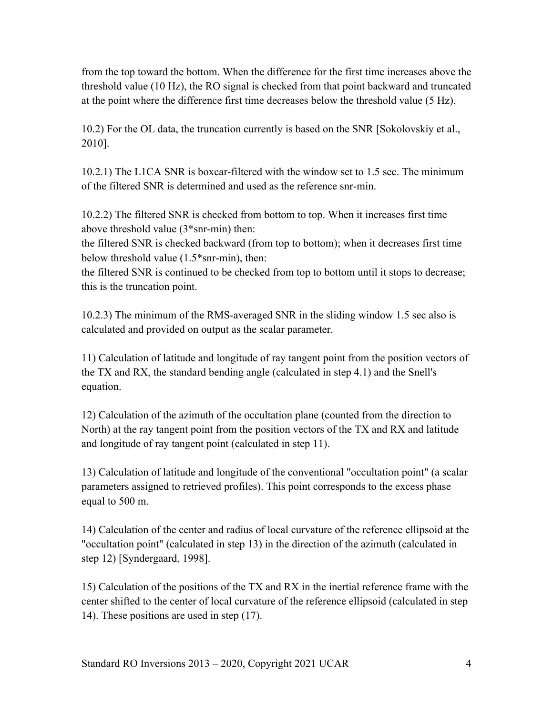from the top toward the bottom. When the difference for the first time increases above the threshold value (10 Hz), the RO signal is checked from that point backward and truncated at the point where the difference first time decreases below the threshold value (5 Hz).

10.2) For the OL data, the truncation currently is based on the SNR [Sokolovskiy et al., 2010].

10.2.1) The L1CA SNR is boxcar-filtered with the window set to 1.5 sec. The minimum of the filtered SNR is determined and used as the reference snr-min.

10.2.2) The filtered SNR is checked from bottom to top. When it increases first time above threshold value (3\*snr-min) then:

the filtered SNR is checked backward (from top to bottom); when it decreases first time below threshold value (1.5\*snr-min), then:

the filtered SNR is continued to be checked from top to bottom until it stops to decrease; this is the truncation point.

10.2.3) The minimum of the RMS-averaged SNR in the sliding window 1.5 sec also is calculated and provided on output as the scalar parameter.

11) Calculation of latitude and longitude of ray tangent point from the position vectors of the TX and RX, the standard bending angle (calculated in step 4.1) and the Snell's equation.

12) Calculation of the azimuth of the occultation plane (counted from the direction to North) at the ray tangent point from the position vectors of the TX and RX and latitude and longitude of ray tangent point (calculated in step 11).

13) Calculation of latitude and longitude of the conventional "occultation point" (a scalar parameters assigned to retrieved profiles). This point corresponds to the excess phase equal to 500 m.

14) Calculation of the center and radius of local curvature of the reference ellipsoid at the "occultation point" (calculated in step 13) in the direction of the azimuth (calculated in step 12) [Syndergaard, 1998].

15) Calculation of the positions of the TX and RX in the inertial reference frame with the center shifted to the center of local curvature of the reference ellipsoid (calculated in step 14). These positions are used in step (17).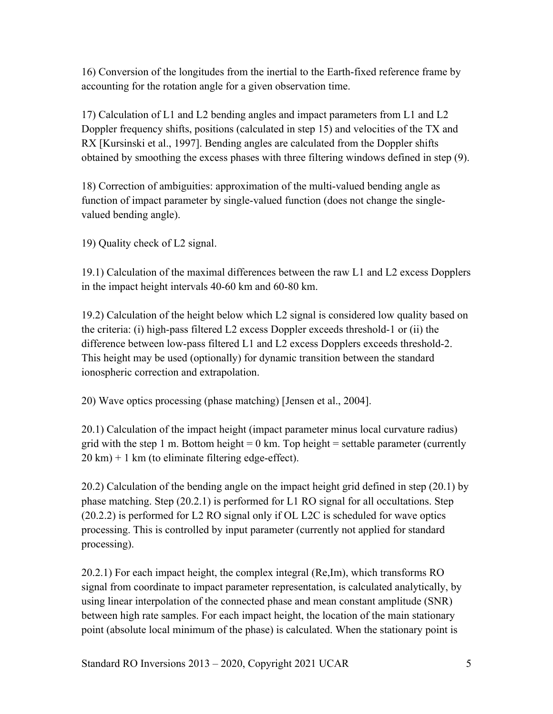16) Conversion of the longitudes from the inertial to the Earth-fixed reference frame by accounting for the rotation angle for a given observation time.

17) Calculation of L1 and L2 bending angles and impact parameters from L1 and L2 Doppler frequency shifts, positions (calculated in step 15) and velocities of the TX and RX [Kursinski et al., 1997]. Bending angles are calculated from the Doppler shifts obtained by smoothing the excess phases with three filtering windows defined in step (9).

18) Correction of ambiguities: approximation of the multi-valued bending angle as function of impact parameter by single-valued function (does not change the singlevalued bending angle).

19) Quality check of L2 signal.

19.1) Calculation of the maximal differences between the raw L1 and L2 excess Dopplers in the impact height intervals 40-60 km and 60-80 km.

19.2) Calculation of the height below which L2 signal is considered low quality based on the criteria: (i) high-pass filtered L2 excess Doppler exceeds threshold-1 or (ii) the difference between low-pass filtered L1 and L2 excess Dopplers exceeds threshold-2. This height may be used (optionally) for dynamic transition between the standard ionospheric correction and extrapolation.

20) Wave optics processing (phase matching) [Jensen et al., 2004].

20.1) Calculation of the impact height (impact parameter minus local curvature radius) grid with the step 1 m. Bottom height = 0 km. Top height = settable parameter (currently  $20 \text{ km}$ ) + 1 km (to eliminate filtering edge-effect).

20.2) Calculation of the bending angle on the impact height grid defined in step (20.1) by phase matching. Step (20.2.1) is performed for L1 RO signal for all occultations. Step (20.2.2) is performed for L2 RO signal only if OL L2C is scheduled for wave optics processing. This is controlled by input parameter (currently not applied for standard processing).

20.2.1) For each impact height, the complex integral (Re,Im), which transforms RO signal from coordinate to impact parameter representation, is calculated analytically, by using linear interpolation of the connected phase and mean constant amplitude (SNR) between high rate samples. For each impact height, the location of the main stationary point (absolute local minimum of the phase) is calculated. When the stationary point is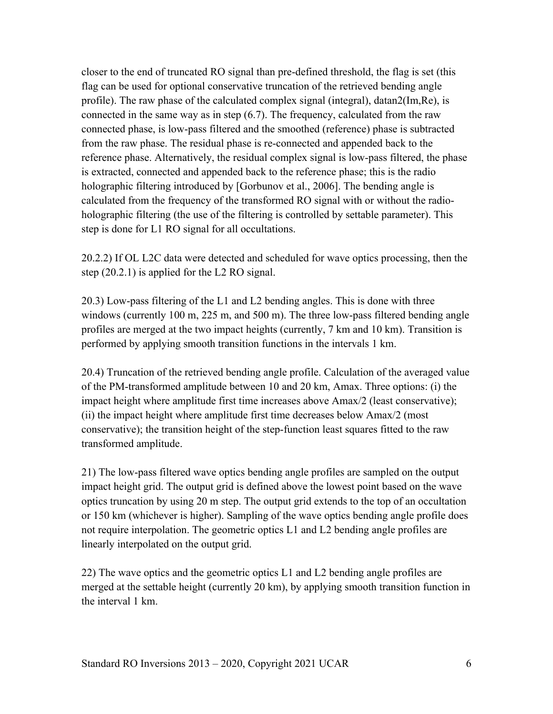closer to the end of truncated RO signal than pre-defined threshold, the flag is set (this flag can be used for optional conservative truncation of the retrieved bending angle profile). The raw phase of the calculated complex signal (integral), datan2(Im,Re), is connected in the same way as in step (6.7). The frequency, calculated from the raw connected phase, is low-pass filtered and the smoothed (reference) phase is subtracted from the raw phase. The residual phase is re-connected and appended back to the reference phase. Alternatively, the residual complex signal is low-pass filtered, the phase is extracted, connected and appended back to the reference phase; this is the radio holographic filtering introduced by [Gorbunov et al., 2006]. The bending angle is calculated from the frequency of the transformed RO signal with or without the radioholographic filtering (the use of the filtering is controlled by settable parameter). This step is done for L1 RO signal for all occultations.

20.2.2) If OL L2C data were detected and scheduled for wave optics processing, then the step (20.2.1) is applied for the L2 RO signal.

20.3) Low-pass filtering of the L1 and L2 bending angles. This is done with three windows (currently 100 m, 225 m, and 500 m). The three low-pass filtered bending angle profiles are merged at the two impact heights (currently, 7 km and 10 km). Transition is performed by applying smooth transition functions in the intervals 1 km.

20.4) Truncation of the retrieved bending angle profile. Calculation of the averaged value of the PM-transformed amplitude between 10 and 20 km, Amax. Three options: (i) the impact height where amplitude first time increases above Amax/2 (least conservative); (ii) the impact height where amplitude first time decreases below Amax/2 (most conservative); the transition height of the step-function least squares fitted to the raw transformed amplitude.

21) The low-pass filtered wave optics bending angle profiles are sampled on the output impact height grid. The output grid is defined above the lowest point based on the wave optics truncation by using 20 m step. The output grid extends to the top of an occultation or 150 km (whichever is higher). Sampling of the wave optics bending angle profile does not require interpolation. The geometric optics L1 and L2 bending angle profiles are linearly interpolated on the output grid.

22) The wave optics and the geometric optics L1 and L2 bending angle profiles are merged at the settable height (currently 20 km), by applying smooth transition function in the interval 1 km.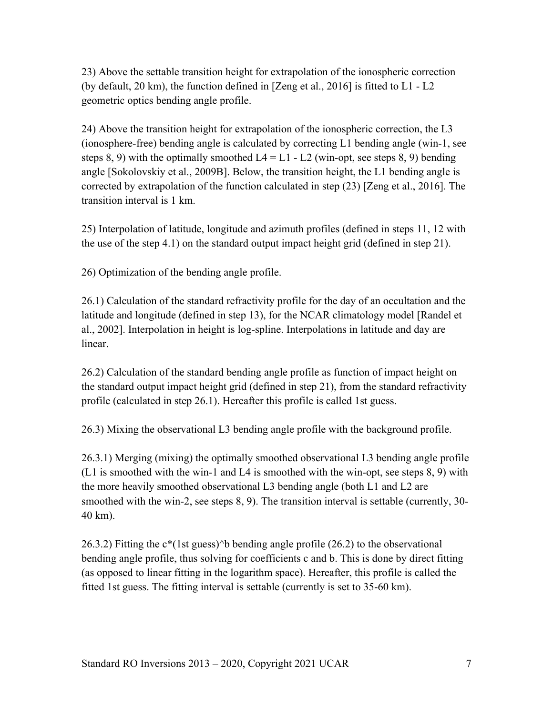23) Above the settable transition height for extrapolation of the ionospheric correction (by default, 20 km), the function defined in [Zeng et al., 2016] is fitted to L1 - L2 geometric optics bending angle profile.

24) Above the transition height for extrapolation of the ionospheric correction, the L3 (ionosphere-free) bending angle is calculated by correcting L1 bending angle (win-1, see steps 8, 9) with the optimally smoothed  $L4 = L1 - L2$  (win-opt, see steps 8, 9) bending angle [Sokolovskiy et al., 2009B]. Below, the transition height, the L1 bending angle is corrected by extrapolation of the function calculated in step (23) [Zeng et al., 2016]. The transition interval is 1 km.

25) Interpolation of latitude, longitude and azimuth profiles (defined in steps 11, 12 with the use of the step 4.1) on the standard output impact height grid (defined in step 21).

26) Optimization of the bending angle profile.

26.1) Calculation of the standard refractivity profile for the day of an occultation and the latitude and longitude (defined in step 13), for the NCAR climatology model [Randel et al., 2002]. Interpolation in height is log-spline. Interpolations in latitude and day are linear.

26.2) Calculation of the standard bending angle profile as function of impact height on the standard output impact height grid (defined in step 21), from the standard refractivity profile (calculated in step 26.1). Hereafter this profile is called 1st guess.

26.3) Mixing the observational L3 bending angle profile with the background profile.

26.3.1) Merging (mixing) the optimally smoothed observational L3 bending angle profile (L1 is smoothed with the win-1 and L4 is smoothed with the win-opt, see steps 8, 9) with the more heavily smoothed observational L3 bending angle (both L1 and L2 are smoothed with the win-2, see steps 8, 9). The transition interval is settable (currently, 30- 40 km).

26.3.2) Fitting the  $c^*(1st$  guess)^b bending angle profile (26.2) to the observational bending angle profile, thus solving for coefficients c and b. This is done by direct fitting (as opposed to linear fitting in the logarithm space). Hereafter, this profile is called the fitted 1st guess. The fitting interval is settable (currently is set to 35-60 km).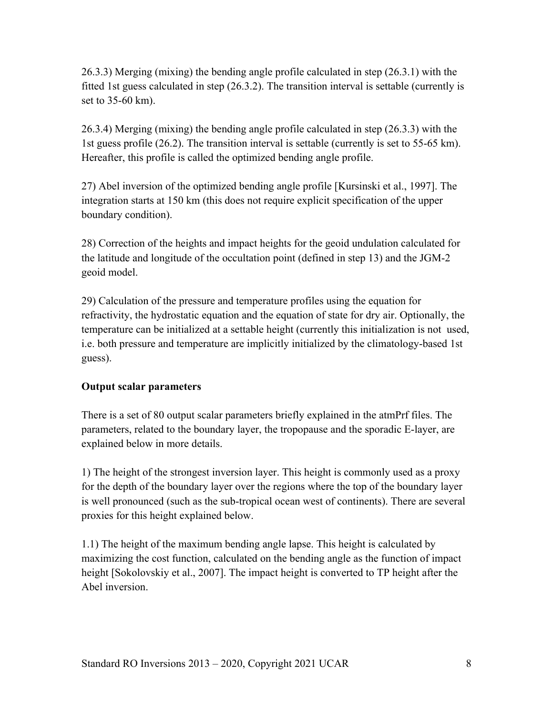26.3.3) Merging (mixing) the bending angle profile calculated in step (26.3.1) with the fitted 1st guess calculated in step (26.3.2). The transition interval is settable (currently is set to 35-60 km).

26.3.4) Merging (mixing) the bending angle profile calculated in step (26.3.3) with the 1st guess profile (26.2). The transition interval is settable (currently is set to 55-65 km). Hereafter, this profile is called the optimized bending angle profile.

27) Abel inversion of the optimized bending angle profile [Kursinski et al., 1997]. The integration starts at 150 km (this does not require explicit specification of the upper boundary condition).

28) Correction of the heights and impact heights for the geoid undulation calculated for the latitude and longitude of the occultation point (defined in step 13) and the JGM-2 geoid model.

29) Calculation of the pressure and temperature profiles using the equation for refractivity, the hydrostatic equation and the equation of state for dry air. Optionally, the temperature can be initialized at a settable height (currently this initialization is not used, i.e. both pressure and temperature are implicitly initialized by the climatology-based 1st guess).

## **Output scalar parameters**

There is a set of 80 output scalar parameters briefly explained in the atmPrf files. The parameters, related to the boundary layer, the tropopause and the sporadic E-layer, are explained below in more details.

1) The height of the strongest inversion layer. This height is commonly used as a proxy for the depth of the boundary layer over the regions where the top of the boundary layer is well pronounced (such as the sub-tropical ocean west of continents). There are several proxies for this height explained below.

1.1) The height of the maximum bending angle lapse. This height is calculated by maximizing the cost function, calculated on the bending angle as the function of impact height [Sokolovskiy et al., 2007]. The impact height is converted to TP height after the Abel inversion.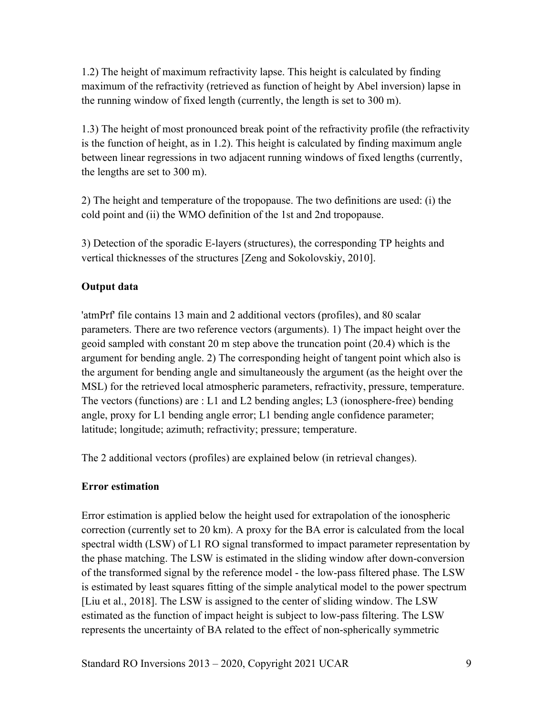1.2) The height of maximum refractivity lapse. This height is calculated by finding maximum of the refractivity (retrieved as function of height by Abel inversion) lapse in the running window of fixed length (currently, the length is set to 300 m).

1.3) The height of most pronounced break point of the refractivity profile (the refractivity is the function of height, as in 1.2). This height is calculated by finding maximum angle between linear regressions in two adjacent running windows of fixed lengths (currently, the lengths are set to 300 m).

2) The height and temperature of the tropopause. The two definitions are used: (i) the cold point and (ii) the WMO definition of the 1st and 2nd tropopause.

3) Detection of the sporadic E-layers (structures), the corresponding TP heights and vertical thicknesses of the structures [Zeng and Sokolovskiy, 2010].

## **Output data**

'atmPrf' file contains 13 main and 2 additional vectors (profiles), and 80 scalar parameters. There are two reference vectors (arguments). 1) The impact height over the geoid sampled with constant 20 m step above the truncation point (20.4) which is the argument for bending angle. 2) The corresponding height of tangent point which also is the argument for bending angle and simultaneously the argument (as the height over the MSL) for the retrieved local atmospheric parameters, refractivity, pressure, temperature. The vectors (functions) are : L1 and L2 bending angles; L3 (ionosphere-free) bending angle, proxy for L1 bending angle error; L1 bending angle confidence parameter; latitude; longitude; azimuth; refractivity; pressure; temperature.

The 2 additional vectors (profiles) are explained below (in retrieval changes).

#### **Error estimation**

Error estimation is applied below the height used for extrapolation of the ionospheric correction (currently set to 20 km). A proxy for the BA error is calculated from the local spectral width (LSW) of L1 RO signal transformed to impact parameter representation by the phase matching. The LSW is estimated in the sliding window after down-conversion of the transformed signal by the reference model - the low-pass filtered phase. The LSW is estimated by least squares fitting of the simple analytical model to the power spectrum [Liu et al., 2018]. The LSW is assigned to the center of sliding window. The LSW estimated as the function of impact height is subject to low-pass filtering. The LSW represents the uncertainty of BA related to the effect of non-spherically symmetric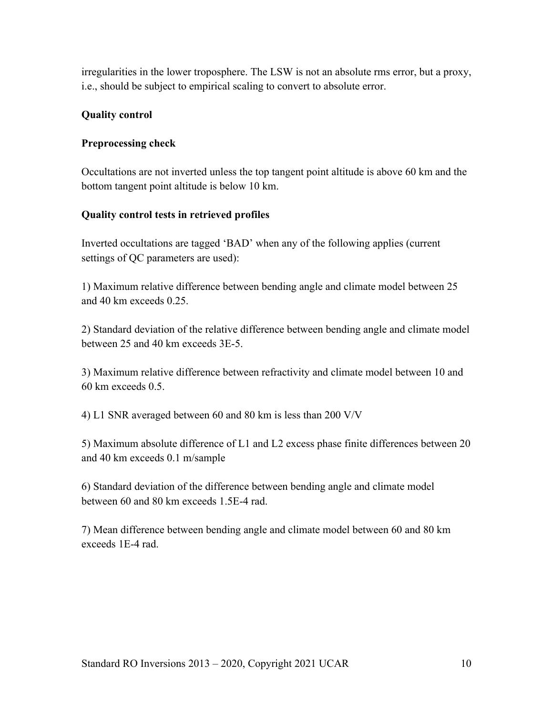irregularities in the lower troposphere. The LSW is not an absolute rms error, but a proxy, i.e., should be subject to empirical scaling to convert to absolute error.

## **Quality control**

#### **Preprocessing check**

Occultations are not inverted unless the top tangent point altitude is above 60 km and the bottom tangent point altitude is below 10 km.

### **Quality control tests in retrieved profiles**

Inverted occultations are tagged 'BAD' when any of the following applies (current settings of QC parameters are used):

1) Maximum relative difference between bending angle and climate model between 25 and 40 km exceeds 0.25.

2) Standard deviation of the relative difference between bending angle and climate model between 25 and 40 km exceeds 3E-5.

3) Maximum relative difference between refractivity and climate model between 10 and 60 km exceeds 0.5.

4) L1 SNR averaged between 60 and 80 km is less than 200 V/V

5) Maximum absolute difference of L1 and L2 excess phase finite differences between 20 and 40 km exceeds 0.1 m/sample

6) Standard deviation of the difference between bending angle and climate model between 60 and 80 km exceeds 1.5E-4 rad.

7) Mean difference between bending angle and climate model between 60 and 80 km exceeds 1E-4 rad.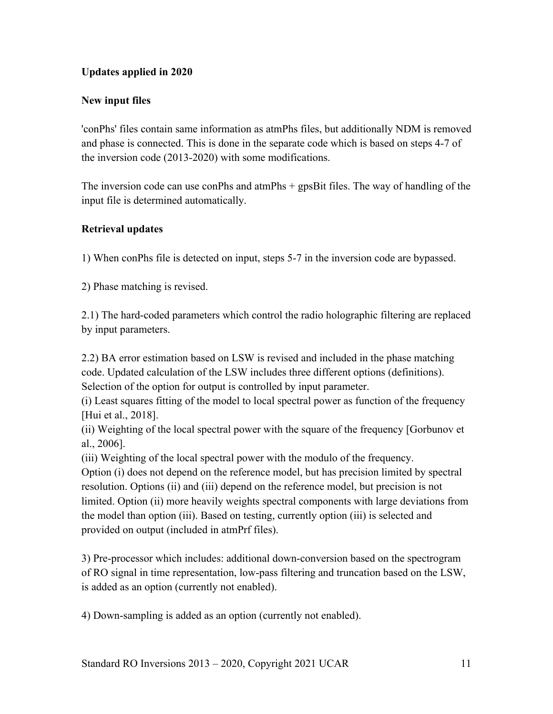## **Updates applied in 2020**

## **New input files**

'conPhs' files contain same information as atmPhs files, but additionally NDM is removed and phase is connected. This is done in the separate code which is based on steps 4-7 of the inversion code (2013-2020) with some modifications.

The inversion code can use conPhs and atmPhs + gpsBit files. The way of handling of the input file is determined automatically.

#### **Retrieval updates**

1) When conPhs file is detected on input, steps 5-7 in the inversion code are bypassed.

2) Phase matching is revised.

2.1) The hard-coded parameters which control the radio holographic filtering are replaced by input parameters.

2.2) BA error estimation based on LSW is revised and included in the phase matching code. Updated calculation of the LSW includes three different options (definitions). Selection of the option for output is controlled by input parameter.

(i) Least squares fitting of the model to local spectral power as function of the frequency [Hui et al., 2018].

(ii) Weighting of the local spectral power with the square of the frequency [Gorbunov et al., 2006].

(iii) Weighting of the local spectral power with the modulo of the frequency.

Option (i) does not depend on the reference model, but has precision limited by spectral resolution. Options (ii) and (iii) depend on the reference model, but precision is not limited. Option (ii) more heavily weights spectral components with large deviations from the model than option (iii). Based on testing, currently option (iii) is selected and provided on output (included in atmPrf files).

3) Pre-processor which includes: additional down-conversion based on the spectrogram of RO signal in time representation, low-pass filtering and truncation based on the LSW, is added as an option (currently not enabled).

4) Down-sampling is added as an option (currently not enabled).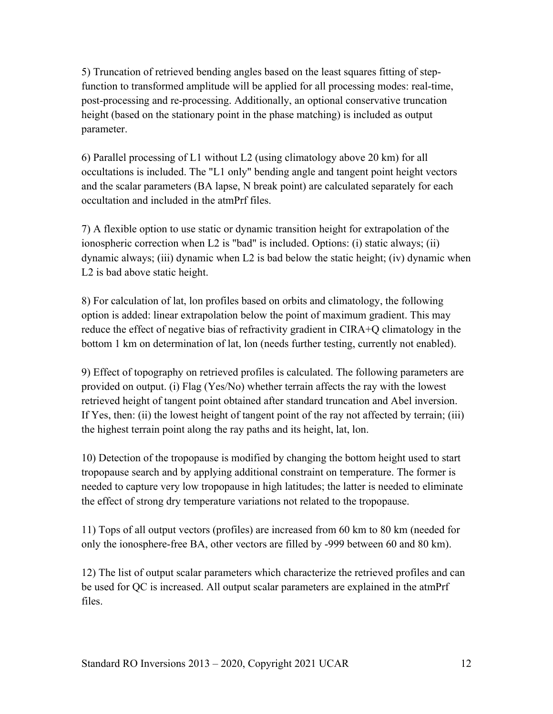5) Truncation of retrieved bending angles based on the least squares fitting of stepfunction to transformed amplitude will be applied for all processing modes: real-time, post-processing and re-processing. Additionally, an optional conservative truncation height (based on the stationary point in the phase matching) is included as output parameter.

6) Parallel processing of L1 without L2 (using climatology above 20 km) for all occultations is included. The "L1 only" bending angle and tangent point height vectors and the scalar parameters (BA lapse, N break point) are calculated separately for each occultation and included in the atmPrf files.

7) A flexible option to use static or dynamic transition height for extrapolation of the ionospheric correction when L2 is "bad" is included. Options: (i) static always; (ii) dynamic always; (iii) dynamic when L2 is bad below the static height; (iv) dynamic when L2 is bad above static height.

8) For calculation of lat, lon profiles based on orbits and climatology, the following option is added: linear extrapolation below the point of maximum gradient. This may reduce the effect of negative bias of refractivity gradient in CIRA+Q climatology in the bottom 1 km on determination of lat, lon (needs further testing, currently not enabled).

9) Effect of topography on retrieved profiles is calculated. The following parameters are provided on output. (i) Flag (Yes/No) whether terrain affects the ray with the lowest retrieved height of tangent point obtained after standard truncation and Abel inversion. If Yes, then: (ii) the lowest height of tangent point of the ray not affected by terrain; (iii) the highest terrain point along the ray paths and its height, lat, lon.

10) Detection of the tropopause is modified by changing the bottom height used to start tropopause search and by applying additional constraint on temperature. The former is needed to capture very low tropopause in high latitudes; the latter is needed to eliminate the effect of strong dry temperature variations not related to the tropopause.

11) Tops of all output vectors (profiles) are increased from 60 km to 80 km (needed for only the ionosphere-free BA, other vectors are filled by -999 between 60 and 80 km).

12) The list of output scalar parameters which characterize the retrieved profiles and can be used for QC is increased. All output scalar parameters are explained in the atmPrf files.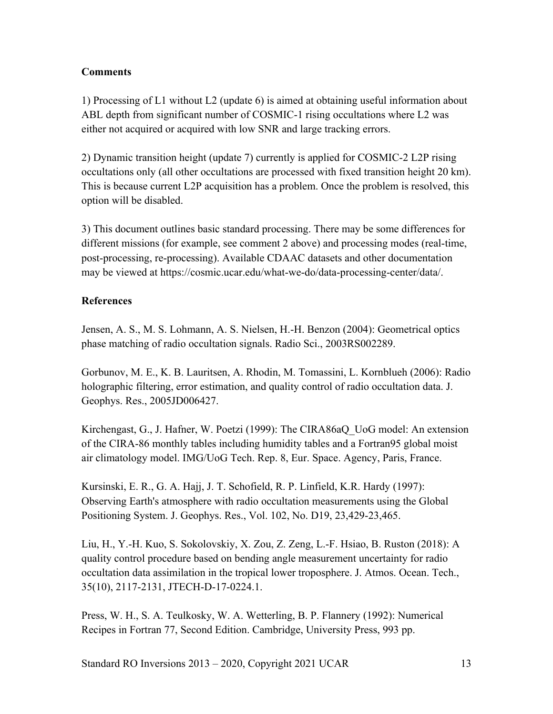### **Comments**

1) Processing of L1 without L2 (update 6) is aimed at obtaining useful information about ABL depth from significant number of COSMIC-1 rising occultations where L2 was either not acquired or acquired with low SNR and large tracking errors.

2) Dynamic transition height (update 7) currently is applied for COSMIC-2 L2P rising occultations only (all other occultations are processed with fixed transition height 20 km). This is because current L2P acquisition has a problem. Once the problem is resolved, this option will be disabled.

3) This document outlines basic standard processing. There may be some differences for different missions (for example, see comment 2 above) and processing modes (real-time, post-processing, re-processing). Available CDAAC datasets and other documentation may be viewed at https://cosmic.ucar.edu/what-we-do/data-processing-center/data/.

## **References**

Jensen, A. S., M. S. Lohmann, A. S. Nielsen, H.-H. Benzon (2004): Geometrical optics phase matching of radio occultation signals. Radio Sci., 2003RS002289.

Gorbunov, M. E., K. B. Lauritsen, A. Rhodin, M. Tomassini, L. Kornblueh (2006): Radio holographic filtering, error estimation, and quality control of radio occultation data. J. Geophys. Res., 2005JD006427.

Kirchengast, G., J. Hafner, W. Poetzi (1999): The CIRA86aQ\_UoG model: An extension of the CIRA-86 monthly tables including humidity tables and a Fortran95 global moist air climatology model. IMG/UoG Tech. Rep. 8, Eur. Space. Agency, Paris, France.

Kursinski, E. R., G. A. Hajj, J. T. Schofield, R. P. Linfield, K.R. Hardy (1997): Observing Earth's atmosphere with radio occultation measurements using the Global Positioning System. J. Geophys. Res., Vol. 102, No. D19, 23,429-23,465.

Liu, H., Y.-H. Kuo, S. Sokolovskiy, X. Zou, Z. Zeng, L.-F. Hsiao, B. Ruston (2018): A quality control procedure based on bending angle measurement uncertainty for radio occultation data assimilation in the tropical lower troposphere. J. Atmos. Ocean. Tech., 35(10), 2117-2131, JTECH-D-17-0224.1.

Press, W. H., S. A. Teulkosky, W. A. Wetterling, B. P. Flannery (1992): Numerical Recipes in Fortran 77, Second Edition. Cambridge, University Press, 993 pp.